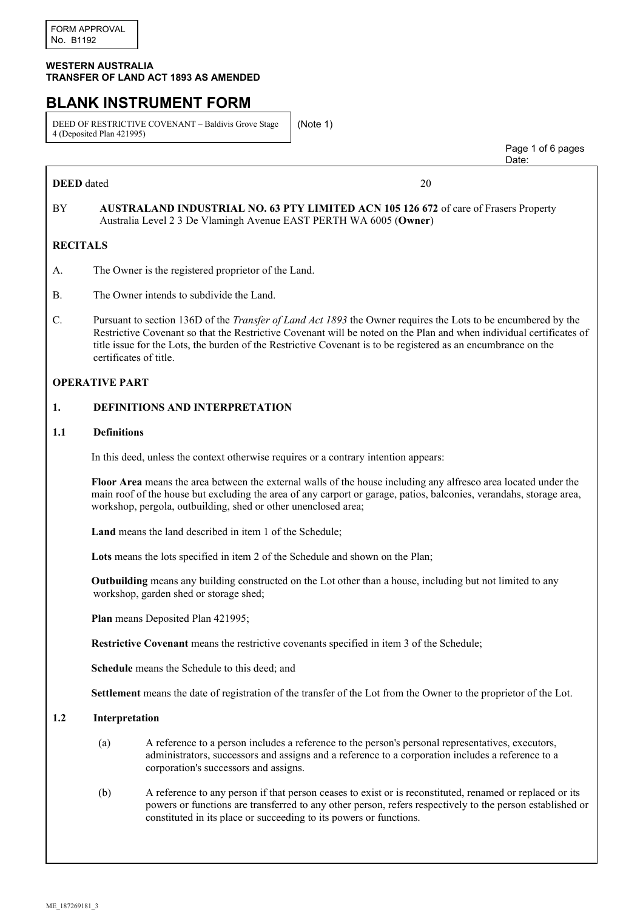#### **WESTERN AUSTRALIA TRANSFER OF LAND ACT 1893 AS AMENDED**

# **BLANK INSTRUMENT FORM**

DEED OF RESTRICTIVE COVENANT – Baldivis Grove Stage 4 (Deposited Plan 421995)

(Note 1)

**DEED** dated 20

discussion of the contract of the contract of the contract of the contract of the contract of the contract of the contract of the contract of the contract of the contract of the contract of the contract of the contract of

Page 1 of 6 pages

### BY **AUSTRALAND INDUSTRIAL NO. 63 PTY LIMITED ACN 105 126 672** of care of Frasers Property Australia Level 2 3 De Vlamingh Avenue EAST PERTH WA 6005 (**Owner**)

# **RECITALS**

- A. The Owner is the registered proprietor of the Land.
- B. The Owner intends to subdivide the Land.
- C. Pursuant to section 136D of the *Transfer of Land Act 1893* the Owner requires the Lots to be encumbered by the Restrictive Covenant so that the Restrictive Covenant will be noted on the Plan and when individual certificates of title issue for the Lots, the burden of the Restrictive Covenant is to be registered as an encumbrance on the certificates of title.

#### **OPERATIVE PART**

#### **1. DEFINITIONS AND INTERPRETATION**

#### **1.1 Definitions**

In this deed, unless the context otherwise requires or a contrary intention appears:

**Floor Area** means the area between the external walls of the house including any alfresco area located under the main roof of the house but excluding the area of any carport or garage, patios, balconies, verandahs, storage area, workshop, pergola, outbuilding, shed or other unenclosed area;

**Land** means the land described in item 1 of the Schedule;

**Lots** means the lots specified in item 2 of the Schedule and shown on the Plan;

**Outbuilding** means any building constructed on the Lot other than a house, including but not limited to any workshop, garden shed or storage shed;

**Plan** means Deposited Plan 421995;

**Restrictive Covenant** means the restrictive covenants specified in item 3 of the Schedule;

**Schedule** means the Schedule to this deed; and

**Settlement** means the date of registration of the transfer of the Lot from the Owner to the proprietor of the Lot.

#### **1.2 Interpretation**

- (a) A reference to a person includes a reference to the person's personal representatives, executors, administrators, successors and assigns and a reference to a corporation includes a reference to a corporation's successors and assigns.
- (b) A reference to any person if that person ceases to exist or is reconstituted, renamed or replaced or its powers or functions are transferred to any other person, refers respectively to the person established or constituted in its place or succeeding to its powers or functions.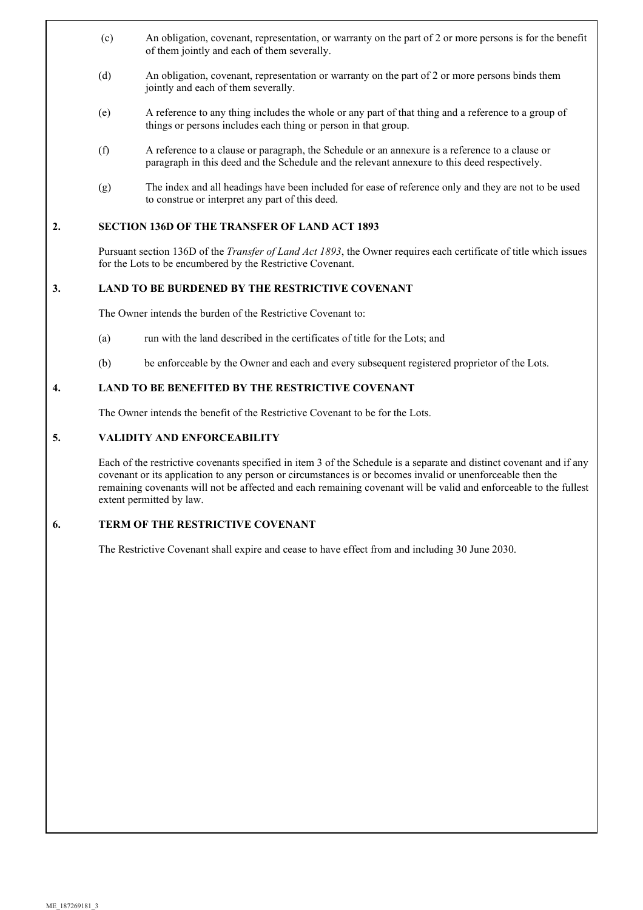- (c) An obligation, covenant, representation, or warranty on the part of 2 or more persons is for the benefit of them jointly and each of them severally.
- (d) An obligation, covenant, representation or warranty on the part of 2 or more persons binds them jointly and each of them severally.
- (e) A reference to any thing includes the whole or any part of that thing and a reference to a group of things or persons includes each thing or person in that group.
- (f) A reference to a clause or paragraph, the Schedule or an annexure is a reference to a clause or paragraph in this deed and the Schedule and the relevant annexure to this deed respectively.
- (g) The index and all headings have been included for ease of reference only and they are not to be used to construe or interpret any part of this deed.

#### **2. SECTION 136D OF THE TRANSFER OF LAND ACT 1893**

Pursuant section 136D of the *Transfer of Land Act 1893*, the Owner requires each certificate of title which issues for the Lots to be encumbered by the Restrictive Covenant.

#### **3. LAND TO BE BURDENED BY THE RESTRICTIVE COVENANT**

The Owner intends the burden of the Restrictive Covenant to:

- (a) run with the land described in the certificates of title for the Lots; and
- (b) be enforceable by the Owner and each and every subsequent registered proprietor of the Lots.

# **4. LAND TO BE BENEFITED BY THE RESTRICTIVE COVENANT**

The Owner intends the benefit of the Restrictive Covenant to be for the Lots.

#### **5. VALIDITY AND ENFORCEABILITY**

Each of the restrictive covenants specified in item 3 of the Schedule is a separate and distinct covenant and if any covenant or its application to any person or circumstances is or becomes invalid or unenforceable then the remaining covenants will not be affected and each remaining covenant will be valid and enforceable to the fullest extent permitted by law.

# **6. TERM OF THE RESTRICTIVE COVENANT**

The Restrictive Covenant shall expire and cease to have effect from and including 30 June 2030.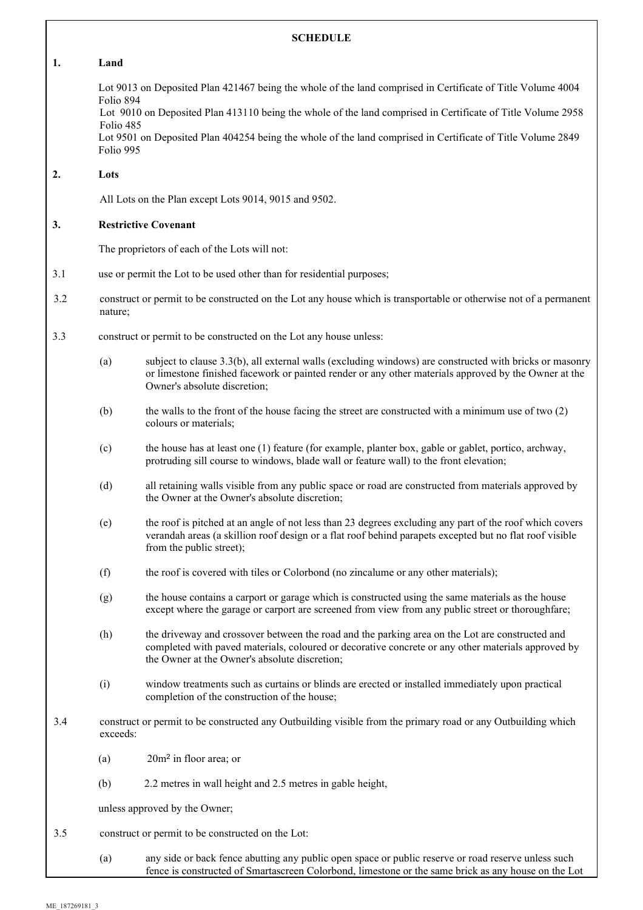# **SCHEDULE**

#### **1. Land**

Lot 9013 on Deposited Plan 421467 being the whole of the land comprised in Certificate of Title Volume 4004 Folio 894

Lot 9010 on Deposited Plan 413110 being the whole of the land comprised in Certificate of Title Volume 2958 Folio 485

Lot 9501 on Deposited Plan 404254 being the whole of the land comprised in Certificate of Title Volume 2849 Folio 995

### **2. Lots**

All Lots on the Plan except Lots 9014, 9015 and 9502.

#### **3. Restrictive Covenant**

The proprietors of each of the Lots will not:

- 3.1 use or permit the Lot to be used other than for residential purposes;
- 3.2 construct or permit to be constructed on the Lot any house which is transportable or otherwise not of a permanent nature;
- 3.3 construct or permit to be constructed on the Lot any house unless:
	- (a) subject to clause 3.3(b), all external walls (excluding windows) are constructed with bricks or masonry or limestone finished facework or painted render or any other materials approved by the Owner at the Owner's absolute discretion;
	- (b) the walls to the front of the house facing the street are constructed with a minimum use of two (2) colours or materials;
	- (c) the house has at least one (1) feature (for example, planter box, gable or gablet, portico, archway, protruding sill course to windows, blade wall or feature wall) to the front elevation;
	- (d) all retaining walls visible from any public space or road are constructed from materials approved by the Owner at the Owner's absolute discretion;
	- (e) the roof is pitched at an angle of not less than 23 degrees excluding any part of the roof which covers verandah areas (a skillion roof design or a flat roof behind parapets excepted but no flat roof visible from the public street);
	- (f) the roof is covered with tiles or Colorbond (no zincalume or any other materials);
	- (g) the house contains a carport or garage which is constructed using the same materials as the house except where the garage or carport are screened from view from any public street or thoroughfare;
	- (h) the driveway and crossover between the road and the parking area on the Lot are constructed and completed with paved materials, coloured or decorative concrete or any other materials approved by the Owner at the Owner's absolute discretion;
	- (i) window treatments such as curtains or blinds are erected or installed immediately upon practical completion of the construction of the house;
- 3.4 construct or permit to be constructed any Outbuilding visible from the primary road or any Outbuilding which exceeds:
	- (a) 20m<sup>2</sup> in floor area; or
	- (b) 2.2 metres in wall height and 2.5 metres in gable height,

unless approved by the Owner;

- 3.5 construct or permit to be constructed on the Lot:
	- (a) any side or back fence abutting any public open space or public reserve or road reserve unless such fence is constructed of Smartascreen Colorbond, limestone or the same brick as any house on the Lot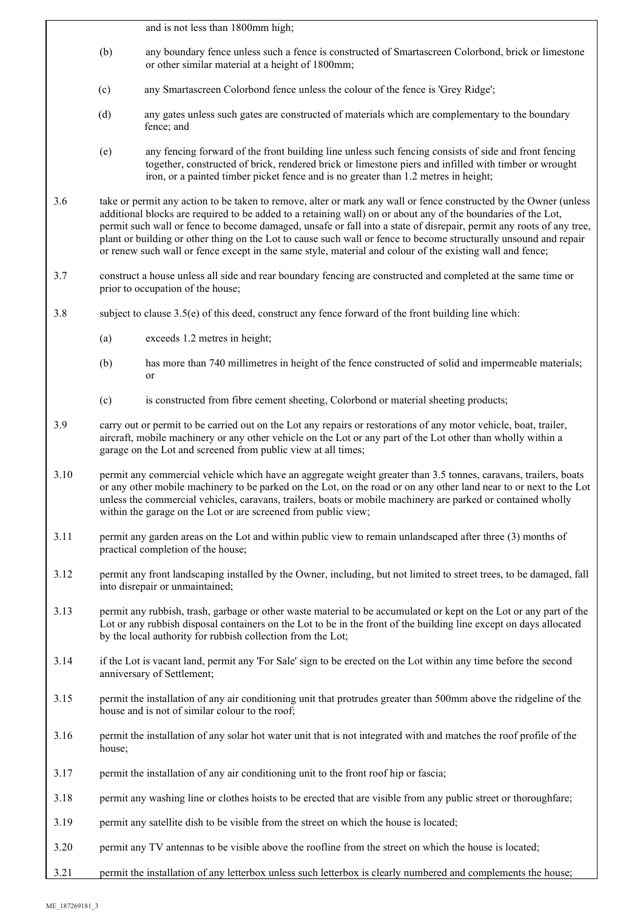and is not less than 1800mm high;

- (b) any boundary fence unless such a fence is constructed of Smartascreen Colorbond, brick or limestone or other similar material at a height of 1800mm;
- (c) any Smartascreen Colorbond fence unless the colour of the fence is 'Grey Ridge';
- (d) any gates unless such gates are constructed of materials which are complementary to the boundary fence; and
- (e) any fencing forward of the front building line unless such fencing consists of side and front fencing together, constructed of brick, rendered brick or limestone piers and infilled with timber or wrought iron, or a painted timber picket fence and is no greater than 1.2 metres in height;
- 3.6 take or permit any action to be taken to remove, alter or mark any wall or fence constructed by the Owner (unless additional blocks are required to be added to a retaining wall) on or about any of the boundaries of the Lot, permit such wall or fence to become damaged, unsafe or fall into a state of disrepair, permit any roots of any tree, plant or building or other thing on the Lot to cause such wall or fence to become structurally unsound and repair or renew such wall or fence except in the same style, material and colour of the existing wall and fence;
- 3.7 construct a house unless all side and rear boundary fencing are constructed and completed at the same time or prior to occupation of the house;
- 3.8 subject to clause 3.5(e) of this deed, construct any fence forward of the front building line which:
	- (a) exceeds 1.2 metres in height;
	- (b) has more than 740 millimetres in height of the fence constructed of solid and impermeable materials; or
	- (c) is constructed from fibre cement sheeting, Colorbond or material sheeting products;
- 3.9 carry out or permit to be carried out on the Lot any repairs or restorations of any motor vehicle, boat, trailer, aircraft, mobile machinery or any other vehicle on the Lot or any part of the Lot other than wholly within a garage on the Lot and screened from public view at all times;
- 3.10 permit any commercial vehicle which have an aggregate weight greater than 3.5 tonnes, caravans, trailers, boats or any other mobile machinery to be parked on the Lot, on the road or on any other land near to or next to the Lot unless the commercial vehicles, caravans, trailers, boats or mobile machinery are parked or contained wholly within the garage on the Lot or are screened from public view;
- 3.11 permit any garden areas on the Lot and within public view to remain unlandscaped after three (3) months of practical completion of the house;
- 3.12 permit any front landscaping installed by the Owner, including, but not limited to street trees, to be damaged, fall into disrepair or unmaintained;
- 3.13 permit any rubbish, trash, garbage or other waste material to be accumulated or kept on the Lot or any part of the Lot or any rubbish disposal containers on the Lot to be in the front of the building line except on days allocated by the local authority for rubbish collection from the Lot;
- 3.14 if the Lot is vacant land, permit any 'For Sale' sign to be erected on the Lot within any time before the second anniversary of Settlement;
- 3.15 permit the installation of any air conditioning unit that protrudes greater than 500mm above the ridgeline of the house and is not of similar colour to the roof;
- 3.16 permit the installation of any solar hot water unit that is not integrated with and matches the roof profile of the house;
- 3.17 permit the installation of any air conditioning unit to the front roof hip or fascia;
- 3.18 permit any washing line or clothes hoists to be erected that are visible from any public street or thoroughfare;
- 3.19 permit any satellite dish to be visible from the street on which the house is located;
- 3.20 permit any TV antennas to be visible above the roofline from the street on which the house is located;
- 3.21 permit the installation of any letterbox unless such letterbox is clearly numbered and complements the house;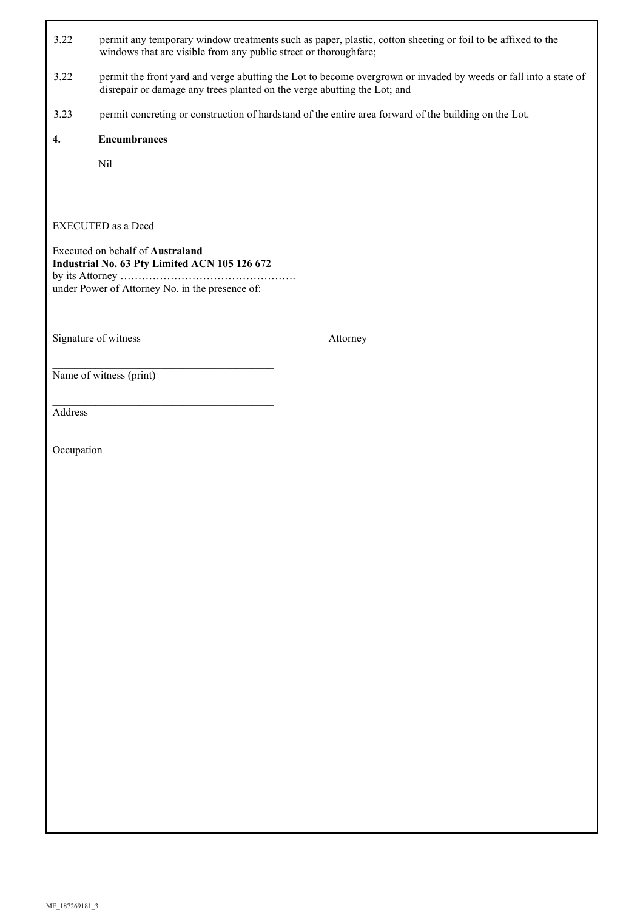- 3.22 permit any temporary window treatments such as paper, plastic, cotton sheeting or foil to be affixed to the windows that are visible from any public street or thoroughfare;
- 3.22 permit the front yard and verge abutting the Lot to become overgrown or invaded by weeds or fall into a state of disrepair or damage any trees planted on the verge abutting the Lot; and
- 3.23 permit concreting or construction of hardstand of the entire area forward of the building on the Lot.

 $\mathcal{L}_\mathcal{L} = \mathcal{L}_\mathcal{L} = \mathcal{L}_\mathcal{L} = \mathcal{L}_\mathcal{L} = \mathcal{L}_\mathcal{L} = \mathcal{L}_\mathcal{L} = \mathcal{L}_\mathcal{L} = \mathcal{L}_\mathcal{L} = \mathcal{L}_\mathcal{L} = \mathcal{L}_\mathcal{L} = \mathcal{L}_\mathcal{L} = \mathcal{L}_\mathcal{L} = \mathcal{L}_\mathcal{L} = \mathcal{L}_\mathcal{L} = \mathcal{L}_\mathcal{L} = \mathcal{L}_\mathcal{L} = \mathcal{L}_\mathcal{L}$ 

## **4. Encumbrances**

Nil

## EXECUTED as a Deed

Executed on behalf of **Australand Industrial No. 63 Pty Limited ACN 105 126 672** by its Attorney …………………………………………. under Power of Attorney No. in the presence of:

 $\mathcal{L}_\text{max}$ 

 $\overline{\phantom{a}}$  , and the set of the set of the set of the set of the set of the set of the set of the set of the set of the set of the set of the set of the set of the set of the set of the set of the set of the set of the s

 $\mathcal{L}_\text{max}$ 

Signature of witness Attorney

Name of witness (print)

Address

Occupation